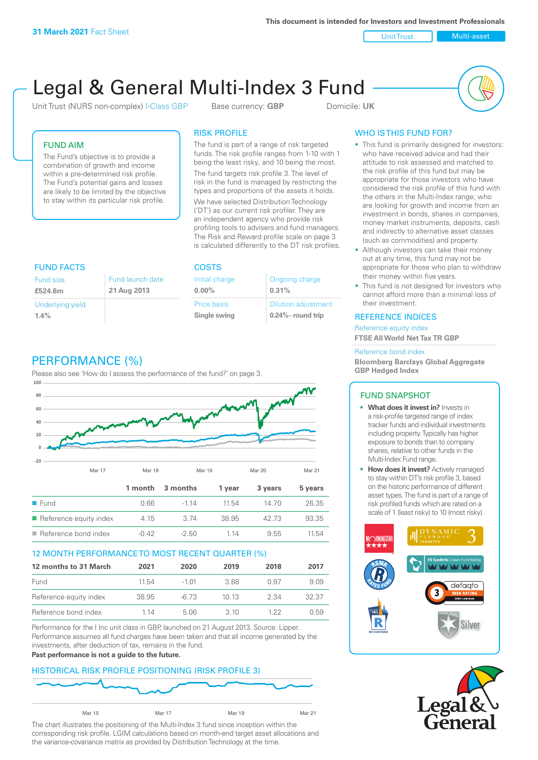**This document is intended for Investors and Investment Professionals**

Unit Trust Nulti-asset

# Legal & General Multi-Index 3 Fund

Unit Trust (NURS non-complex) I-Class GBP Base currency: **GBP** Domicile: UK



## FUND AIM

The Fund's objective is to provide a combination of growth and income within a pre-determined risk profile. The Fund's potential gains and losses are likely to be limited by the objective to stay within its particular risk profile.

## RISK PROFILE

The fund is part of a range of risk targeted funds. The risk profile ranges from 1-10 with 1 being the least risky, and 10 being the most.

The fund targets risk profile 3. The level of risk in the fund is managed by restricting the types and proportions of the assets it holds. We have selected Distribution Technology ('DT') as our current risk profiler. They are an independent agency who provide risk profiling tools to advisers and fund managers. The Risk and Reward profile scale on page 3 is calculated differently to the DT risk profiles.

| <b>FUND FACTS</b> |                  | <b>COSTS</b>   |                            |  |
|-------------------|------------------|----------------|----------------------------|--|
| <b>Fund size</b>  | Fund launch date | Initial charge | Ongoing charge             |  |
| £524.6m           | 21 Aug 2013      | $0.00\%$       | 0.31%                      |  |
| Underlying yield  |                  | Price basis    | <b>Dilution adjustment</b> |  |
| 1.4%              |                  | Single swing   | $0.24\%$ - round trip      |  |

# PERFORMANCE (%)

Please also see 'How do I assess the performance of the fund?' on page 3.



#### 12 MONTH PERFORMANCE TO MOST RECENT QUARTER (%)

| 12 months to 31 March  | 2021  | 2020    | 2019  | 2018 | 2017  |
|------------------------|-------|---------|-------|------|-------|
| Fund                   | 11.54 | $-1.01$ | 388   | 0.97 | 9.09  |
| Reference equity index | 38.95 | -6.73   | 1013  | 2.34 | 32.37 |
| Reference bond index   | 1 14  | 5.06    | 3. IO | 1 22 | 0.59  |

Performance for the I Inc unit class in GBP, launched on 21 August 2013. Source: Lipper. Performance assumes all fund charges have been taken and that all income generated by the investments, after deduction of tax, remains in the fund.

#### **Past performance is not a guide to the future.**

#### HISTORICAL RISK PROFILE POSITIONING (RISK PROFILE 3)



The chart illustrates the positioning of the Multi-Index 3 fund since inception within the corresponding risk profile. LGIM calculations based on month-end target asset allocations and the variance-covariance matrix as provided by Distribution Technology at the time.

# WHO IS THIS FUND FOR?

- This fund is primarily designed for investors: who have received advice and had their attitude to risk assessed and matched to the risk profile of this fund but may be appropriate for those investors who have considered the risk profile of this fund with the others in the Multi-Index range; who are looking for growth and income from an investment in bonds, shares in companies, money market instruments, deposits, cash and indirectly to alternative asset classes (such as commodities) and property.
- Although investors can take their money out at any time, this fund may not be appropriate for those who plan to withdraw their money within five years.
- This fund is not designed for investors who cannot afford more than a minimal loss of their investment.

#### REFERENCE INDICES

Reference equity index **FTSE All World Net Tax TR GBP**

#### Reference bond index

**Bloomberg Barclays Global Aggregate GBP Hedged Index**

#### FUND SNAPSHOT

- **• What does it invest in?** Invests in a risk-profile targeted range of index tracker funds and individual investments including property. Typically has higher exposure to bonds than to company shares, relative to other funds in the Multi-Index Fund range.
- **• How does it invest?** Actively managed to stay within DT's risk profile 3, based on the historic performance of different asset types. The fund is part of a range of risk profiled funds which are rated on a scale of 1 (least risky) to 10 (most risky).



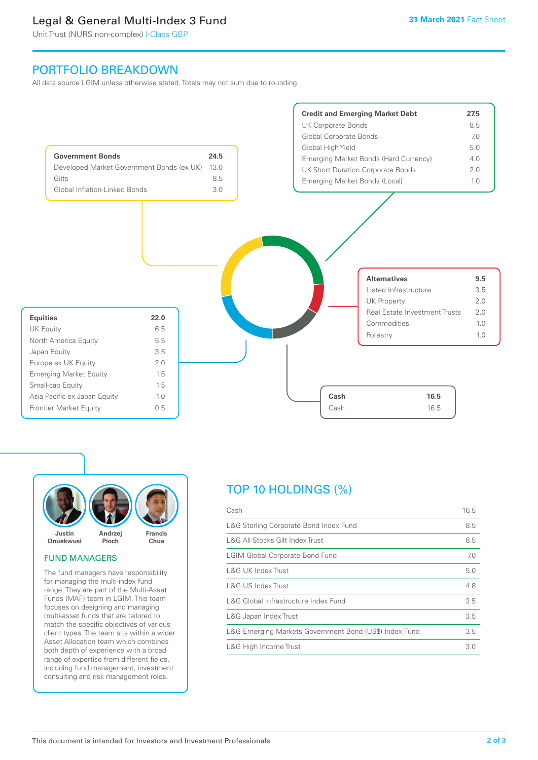# Legal & General Multi-Index 3 Fund

Unit Trust (NURS non-complex) I-Class GBP

# PORTFOLIO BREAKDOWN

All data source LGIM unless otherwise stated. Totals may not sum due to rounding.





#### FUND MANAGERS

The fund managers have responsibility for managing the multi-index fund range. They are part of the Multi-Asset Funds (MAF) team in LGIM. This team focuses on designing and managing multi-asset funds that are tailored to match the specific objectives of various client types. The team sits within a wider Asset Allocation team which combines both depth of experience with a broad range of expertise from different fields, including fund management, investment consulting and risk management roles.

# TOP 10 HOLDINGS (%)

| Cash                                                   | 16.5 |
|--------------------------------------------------------|------|
| L&G Sterling Corporate Bond Index Fund                 | 8.5  |
| L&G All Stocks Gilt Index Trust                        | 8.5  |
| <b>LGIM Global Corporate Bond Fund</b>                 | 7.0  |
| L&G UK Index Trust                                     | 5.0  |
| <b>L&amp;G US Index Trust</b>                          | 4.8  |
| L&G Global Infrastructure Index Fund                   | 3.5  |
| L&G Japan Index Trust                                  | 3.5  |
| L&G Emerging Markets Government Bond (US\$) Index Fund | 3.5  |
| L&G High Income Trust                                  | 3.0  |